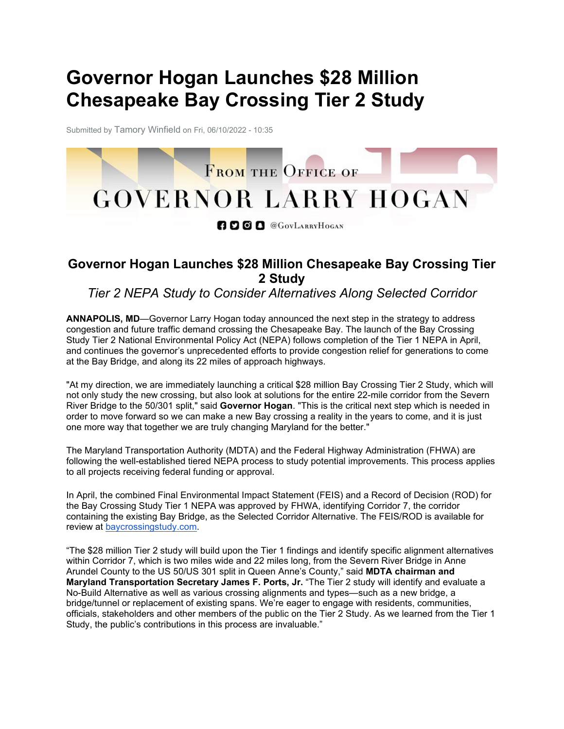## **Governor Hogan Launches \$28 Million Chesapeake Bay Crossing Tier 2 Study**

Submitted by Tamory Winfield on Fri, 06/10/2022 - 10:35



**ADOD** @GOVLARRYHOGAN

## **Governor Hogan Launches \$28 Million Chesapeake Bay Crossing Tier 2 Study**

## *Tier 2 NEPA Study to Consider Alternatives Along Selected Corridor*

**ANNAPOLIS, MD**—Governor Larry Hogan today announced the next step in the strategy to address congestion and future traffic demand crossing the Chesapeake Bay. The launch of the Bay Crossing Study Tier 2 National Environmental Policy Act (NEPA) follows completion of the Tier 1 NEPA in April, and continues the governor's unprecedented efforts to provide congestion relief for generations to come at the Bay Bridge, and along its 22 miles of approach highways.

"At my direction, we are immediately launching a critical \$28 million Bay Crossing Tier 2 Study, which will not only study the new crossing, but also look at solutions for the entire 22-mile corridor from the Severn River Bridge to the 50/301 split," said **Governor Hogan**. "This is the critical next step which is needed in order to move forward so we can make a new Bay crossing a reality in the years to come, and it is just one more way that together we are truly changing Maryland for the better."

The Maryland Transportation Authority (MDTA) and the Federal Highway Administration (FHWA) are following the well-established tiered NEPA process to study potential improvements. This process applies to all projects receiving federal funding or approval.

In April, the combined Final Environmental Impact Statement (FEIS) and a Record of Decision (ROD) for the Bay Crossing Study Tier 1 NEPA was approved by FHWA, identifying Corridor 7, the corridor containing the existing Bay Bridge, as the Selected Corridor Alternative. The FEIS/ROD is available for review at [baycrossingstudy.com.](https://gcc02.safelinks.protection.outlook.com/?url=https%3A%2F%2Flnks.gd%2Fl%2FeyJhbGciOiJIUzI1NiJ9.eyJidWxsZXRpbl9saW5rX2lkIjoxMDMsInVyaSI6ImJwMjpjbGljayIsImJ1bGxldGluX2lkIjoiMjAyMjA2MTAuNTkyMDI5OTEiLCJ1cmwiOiJodHRwczovL2djYzAyLnNhZmVsaW5rcy5wcm90ZWN0aW9uLm91dGxvb2suY29tLz91cmw9aHR0cHMlM0ElMkYlMkZ3d3cuYmF5Y3Jvc3NpbmdzdHVkeS5jb20lMkYmZGF0YT0wNSU3QzAxJTdDampveW5lcjIlNDBtZG90Lm1hcnlsYW5kLmdvdiU3QzllYjAxM2YwZTZlMjQxODIxNGU1MDhkYTRhMTYzOWE2JTdDYjM4Y2QyN2M1N2NhNDU5N2JlMjgyMmRmNDNkZDQ3ZjElN0MwJTdDMCU3QzYzNzkwMzc1NjU2MzQ2ODkxNiU3Q1Vua25vd24lN0NUV0ZwYkdac2IzZDhleUpXSWpvaU1DNHdMakF3TURBaUxDSlFJam9pVjJsdU16SWlMQ0pCVGlJNklrMWhhV3dpTENKWFZDSTZNbjAlM0QlN0MzMDAwJTdDJTdDJTdDJnNkYXRhPUg1U2JGVzVCTkFSMVJzOWdXZEliSiUyQllJaHQxeSUyQkVUYm9LWDdHZTNHTEg4JTNEJnJlc2VydmVkPTAifQ.fJujZJ4CcfMz273bk9f_sBTGv7ErD9arV-c6azmIzrY%2Fs%2F148747491%2Fbr%2F132716199477-l&data=05%7C01%7Ctwinfield1%40mdta.state.md.us%7Cd13e8639d1c948e35f2508da4aedff3e%7Cb38cd27c57ca4597be2822df43dd47f1%7C0%7C0%7C637904683299929790%7CUnknown%7CTWFpbGZsb3d8eyJWIjoiMC4wLjAwMDAiLCJQIjoiV2luMzIiLCJBTiI6Ik1haWwiLCJXVCI6Mn0%3D%7C3000%7C%7C%7C&sdata=Sz1f%2BWoc4u7Tn2U0ZtSyqEGQtNV2P%2Bjbq9eRScTPUCU%3D&reserved=0)

"The \$28 million Tier 2 study will build upon the Tier 1 findings and identify specific alignment alternatives within Corridor 7, which is two miles wide and 22 miles long, from the Severn River Bridge in Anne Arundel County to the US 50/US 301 split in Queen Anne's County," said **MDTA chairman and Maryland Transportation Secretary James F. Ports, Jr.** "The Tier 2 study will identify and evaluate a No-Build Alternative as well as various crossing alignments and types—such as a new bridge, a bridge/tunnel or replacement of existing spans. We're eager to engage with residents, communities, officials, stakeholders and other members of the public on the Tier 2 Study. As we learned from the Tier 1 Study, the public's contributions in this process are invaluable."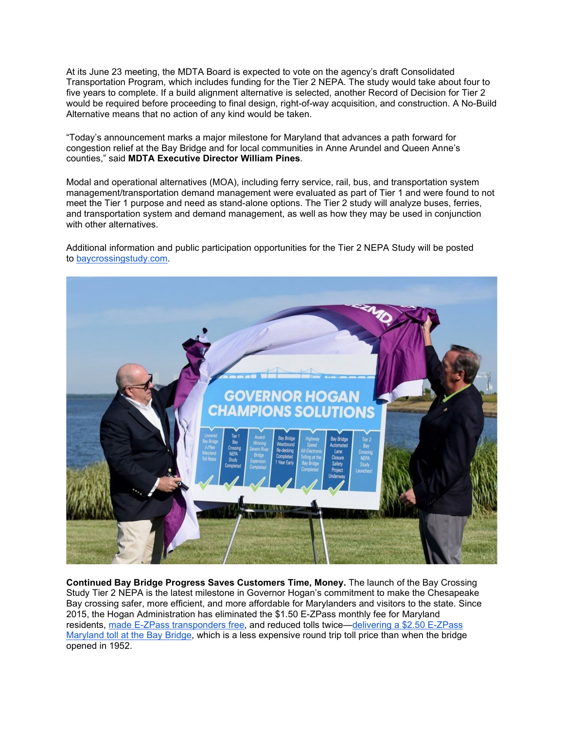At its June 23 meeting, the MDTA Board is expected to vote on the agency's draft Consolidated Transportation Program, which includes funding for the Tier 2 NEPA. The study would take about four to five years to complete. If a build alignment alternative is selected, another Record of Decision for Tier 2 would be required before proceeding to final design, right-of-way acquisition, and construction. A No-Build Alternative means that no action of any kind would be taken.

"Today's announcement marks a major milestone for Maryland that advances a path forward for congestion relief at the Bay Bridge and for local communities in Anne Arundel and Queen Anne's counties," said **MDTA Executive Director William Pines**.

Modal and operational alternatives (MOA), including ferry service, rail, bus, and transportation system management/transportation demand management were evaluated as part of Tier 1 and were found to not meet the Tier 1 purpose and need as stand-alone options. The Tier 2 study will analyze buses, ferries, and transportation system and demand management, as well as how they may be used in conjunction with other alternatives.

Additional information and public participation opportunities for the Tier 2 NEPA Study will be posted to [baycrossingstudy.com.](https://gcc02.safelinks.protection.outlook.com/?url=https%3A%2F%2Flnks.gd%2Fl%2FeyJhbGciOiJIUzI1NiJ9.eyJidWxsZXRpbl9saW5rX2lkIjoxMDQsInVyaSI6ImJwMjpjbGljayIsImJ1bGxldGluX2lkIjoiMjAyMjA2MTAuNTkyMDI5OTEiLCJ1cmwiOiJodHRwczovL2djYzAyLnNhZmVsaW5rcy5wcm90ZWN0aW9uLm91dGxvb2suY29tLz91cmw9aHR0cHMlM0ElMkYlMkZ3d3cuYmF5Y3Jvc3NpbmdzdHVkeS5jb20lMkYmZGF0YT0wNSU3QzAxJTdDampveW5lcjIlNDBtZG90Lm1hcnlsYW5kLmdvdiU3QzllYjAxM2YwZTZlMjQxODIxNGU1MDhkYTRhMTYzOWE2JTdDYjM4Y2QyN2M1N2NhNDU5N2JlMjgyMmRmNDNkZDQ3ZjElN0MwJTdDMCU3QzYzNzkwMzc1NjU2MzQ2ODkxNiU3Q1Vua25vd24lN0NUV0ZwYkdac2IzZDhleUpXSWpvaU1DNHdMakF3TURBaUxDSlFJam9pVjJsdU16SWlMQ0pCVGlJNklrMWhhV3dpTENKWFZDSTZNbjAlM0QlN0MzMDAwJTdDJTdDJTdDJnNkYXRhPUg1U2JGVzVCTkFSMVJzOWdXZEliSiUyQllJaHQxeSUyQkVUYm9LWDdHZTNHTEg4JTNEJnJlc2VydmVkPTAifQ.wUTDDxkiHenc2xPKeM2fbosMYrK8I2MGCfikpexgMDg%2Fs%2F148747491%2Fbr%2F132716199477-l&data=05%7C01%7Ctwinfield1%40mdta.state.md.us%7Cd13e8639d1c948e35f2508da4aedff3e%7Cb38cd27c57ca4597be2822df43dd47f1%7C0%7C0%7C637904683299929790%7CUnknown%7CTWFpbGZsb3d8eyJWIjoiMC4wLjAwMDAiLCJQIjoiV2luMzIiLCJBTiI6Ik1haWwiLCJXVCI6Mn0%3D%7C3000%7C%7C%7C&sdata=kq%2FGcTY8v9GPzeAwywqqvI%2F6EKqYAczwGg%2F%2F7GPw3Eo%3D&reserved=0)



**Continued Bay Bridge Progress Saves Customers Time, Money.** The launch of the Bay Crossing Study Tier 2 NEPA is the latest milestone in Governor Hogan's commitment to make the Chesapeake Bay crossing safer, more efficient, and more affordable for Marylanders and visitors to the state. Since 2015, the Hogan Administration has eliminated the \$1.50 E-ZPass monthly fee for Maryland residents, [made E-ZPass transponders free,](https://gcc02.safelinks.protection.outlook.com/?url=https%3A%2F%2Flnks.gd%2Fl%2FeyJhbGciOiJIUzI1NiJ9.eyJidWxsZXRpbl9saW5rX2lkIjoxMDUsInVyaSI6ImJwMjpjbGljayIsImJ1bGxldGluX2lkIjoiMjAyMjA2MTAuNTkyMDI5OTEiLCJ1cmwiOiJodHRwczovL2dvdmVybm9yLm1hcnlsYW5kLmdvdi8yMDE4LzA1LzIzL2dvdmVybm9yLWxhcnJ5LWhvZ2FuLXNhdmVzLW1hcnlsYW5kZXJzLTQ2LW1pbGxpb24tYnktcGVybWFuZW50bHktZWxpbWluYXRpbmctZS16cGFzcy10cmFuc3BvbmRlci1mZWUvIn0.SAfpQDCEhddDpyL9TChznfQPlnLCEISvb7x_JHvtS3g%2Fs%2F148747491%2Fbr%2F132716199477-l&data=05%7C01%7Ctwinfield1%40mdta.state.md.us%7Cd13e8639d1c948e35f2508da4aedff3e%7Cb38cd27c57ca4597be2822df43dd47f1%7C0%7C0%7C637904683299929790%7CUnknown%7CTWFpbGZsb3d8eyJWIjoiMC4wLjAwMDAiLCJQIjoiV2luMzIiLCJBTiI6Ik1haWwiLCJXVCI6Mn0%3D%7C3000%7C%7C%7C&sdata=DZLLVsgMQ31%2BBMVGibWW3E8yfEs7PsW1OrkbrriFq1s%3D&reserved=0) and reduced tolls twice[—delivering a \\$2.50 E-ZPass](https://gcc02.safelinks.protection.outlook.com/?url=https%3A%2F%2Flnks.gd%2Fl%2FeyJhbGciOiJIUzI1NiJ9.eyJidWxsZXRpbl9saW5rX2lkIjoxMDYsInVyaSI6ImJwMjpjbGljayIsImJ1bGxldGluX2lkIjoiMjAyMjA2MTAuNTkyMDI5OTEiLCJ1cmwiOiJodHRwczovL2dvdmVybm9yLm1hcnlsYW5kLmdvdi8yMDE1LzA1LzA3L2dvdmVybm9yLWhvZ2FuLXJvbGxzLWJhY2stdG9sbHMtc3RhdGV3aWRlLXNhdmluZy1tYXJ5bGFuZGVycy01NC1taWxsaW9uLWEteWVhci8ifQ.SC-_sG4bZuJVVGHXPhILZy6W8d6Y1QQegCTh0eNm3yk%2Fs%2F148747491%2Fbr%2F132716199477-l&data=05%7C01%7Ctwinfield1%40mdta.state.md.us%7Cd13e8639d1c948e35f2508da4aedff3e%7Cb38cd27c57ca4597be2822df43dd47f1%7C0%7C0%7C637904683299929790%7CUnknown%7CTWFpbGZsb3d8eyJWIjoiMC4wLjAwMDAiLCJQIjoiV2luMzIiLCJBTiI6Ik1haWwiLCJXVCI6Mn0%3D%7C3000%7C%7C%7C&sdata=W3rgZGVPghGAEAR7ldtTmhvuXHdpZSLrwcx24MN%2BqJM%3D&reserved=0)  [Maryland toll at the Bay Bridge,](https://gcc02.safelinks.protection.outlook.com/?url=https%3A%2F%2Flnks.gd%2Fl%2FeyJhbGciOiJIUzI1NiJ9.eyJidWxsZXRpbl9saW5rX2lkIjoxMDYsInVyaSI6ImJwMjpjbGljayIsImJ1bGxldGluX2lkIjoiMjAyMjA2MTAuNTkyMDI5OTEiLCJ1cmwiOiJodHRwczovL2dvdmVybm9yLm1hcnlsYW5kLmdvdi8yMDE1LzA1LzA3L2dvdmVybm9yLWhvZ2FuLXJvbGxzLWJhY2stdG9sbHMtc3RhdGV3aWRlLXNhdmluZy1tYXJ5bGFuZGVycy01NC1taWxsaW9uLWEteWVhci8ifQ.SC-_sG4bZuJVVGHXPhILZy6W8d6Y1QQegCTh0eNm3yk%2Fs%2F148747491%2Fbr%2F132716199477-l&data=05%7C01%7Ctwinfield1%40mdta.state.md.us%7Cd13e8639d1c948e35f2508da4aedff3e%7Cb38cd27c57ca4597be2822df43dd47f1%7C0%7C0%7C637904683299929790%7CUnknown%7CTWFpbGZsb3d8eyJWIjoiMC4wLjAwMDAiLCJQIjoiV2luMzIiLCJBTiI6Ik1haWwiLCJXVCI6Mn0%3D%7C3000%7C%7C%7C&sdata=W3rgZGVPghGAEAR7ldtTmhvuXHdpZSLrwcx24MN%2BqJM%3D&reserved=0) which is a less expensive round trip toll price than when the bridge opened in 1952.